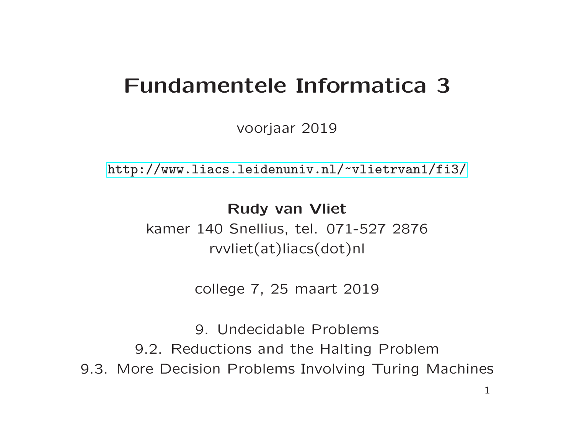# Fundamentele Informatica 3

voorjaar 2019

[http://www.liacs.leidenuniv.nl/](http://www.liacs.leidenuniv.nl/~vlietrvan1/fi3/) ~vlietrvan1/fi3/

Rudy van Vliet kamer 140 Snellius, tel. 071-527 2876 rvvliet(at)liacs(dot)nl

college 7, 25 maart 2019

9. Undecidable Problems 9.2. Reductions and the Halting Problem 9.3. More Decision Problems Involving Turing Machines 1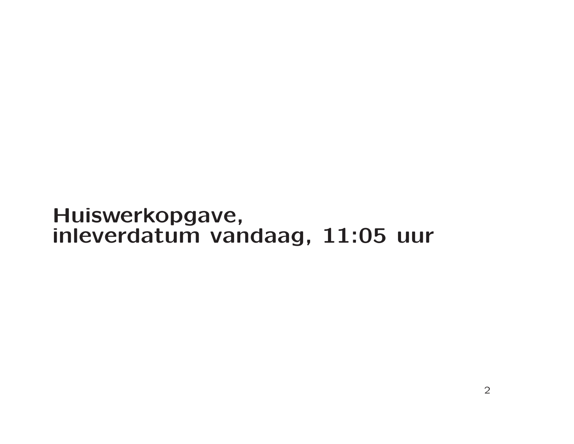# Huiswerkopgave, inleverdatum vandaag, 11:05 uur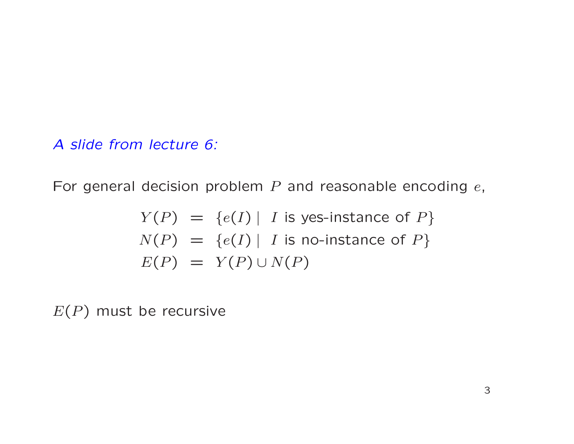For general decision problem  $P$  and reasonable encoding  $e$ ,

$$
Y(P) = \{e(I) | I \text{ is yes-instance of } P\}
$$
  

$$
N(P) = \{e(I) | I \text{ is no-instance of } P\}
$$
  

$$
E(P) = Y(P) \cup N(P)
$$

 $E(P)$  must be recursive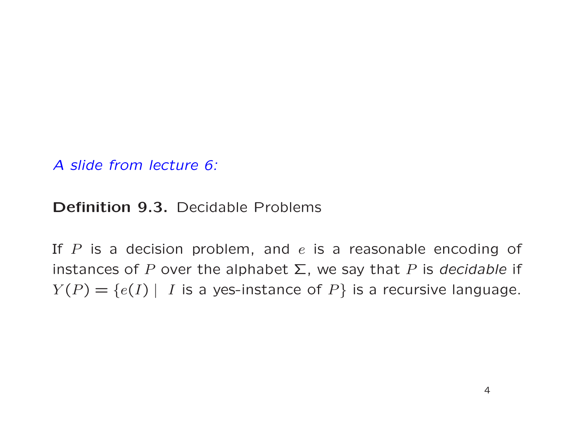Definition 9.3. Decidable Problems

If  $P$  is a decision problem, and  $e$  is a reasonable encoding of instances of P over the alphabet  $\Sigma$ , we say that P is decidable if  $Y(P) = \{e(I) | I$  is a yes-instance of  $P\}$  is a recursive language.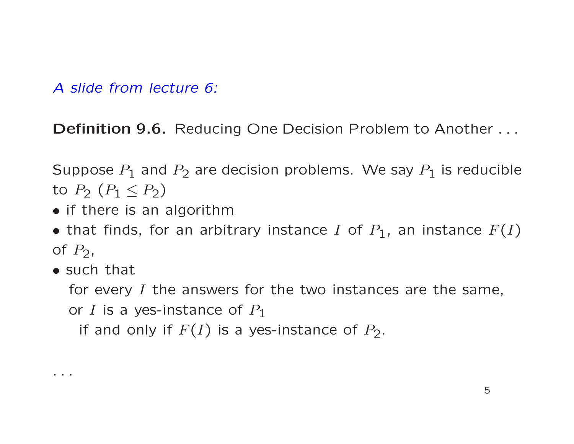Definition 9.6. Reducing One Decision Problem to Another ...

Suppose  $P_1$  and  $P_2$  are decision problems. We say  $P_1$  is reducible to  $P_2$   $(P_1 \leq P_2)$ 

- if there is an algorithm
- that finds, for an arbitrary instance I of  $P_1$ , an instance  $F(I)$ of  $P_2$ ,
- such that

. . .

for every  $I$  the answers for the two instances are the same, or I is a yes-instance of  $P_1$ 

if and only if  $F(I)$  is a yes-instance of  $P_2$ .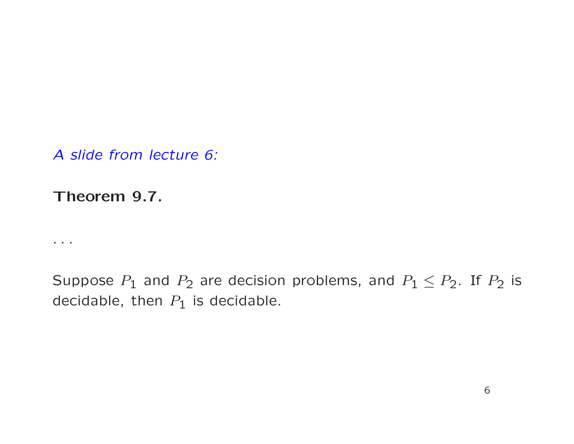Theorem 9.7.

 $\ldots$ 

Suppose  $P_1$  and  $P_2$  are decision problems, and  $P_1 \leq P_2$ . If  $P_2$  is decidable, then  $P_1$  is decidable.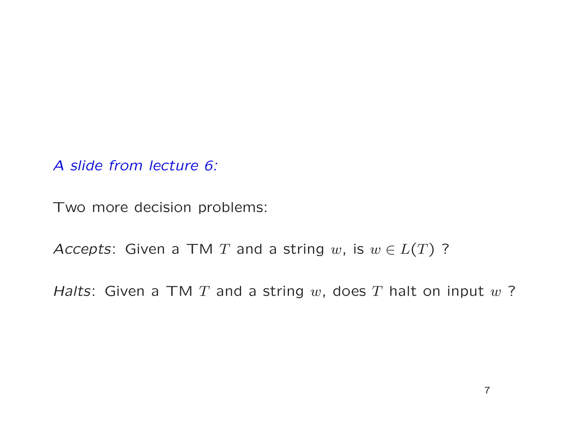Two more decision problems:

Accepts: Given a TM T and a string w, is  $w \in L(T)$  ?

Halts: Given a TM  $T$  and a string  $w$ , does  $T$  halt on input  $w$ ?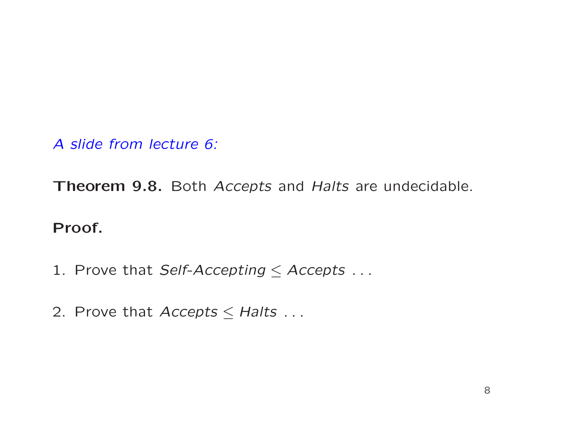Theorem 9.8. Both Accepts and Halts are undecidable.

#### Proof.

- 1. Prove that Self-Accepting  $\leq$  Accepts ...
- 2. Prove that  $Access \leq Halts$ ...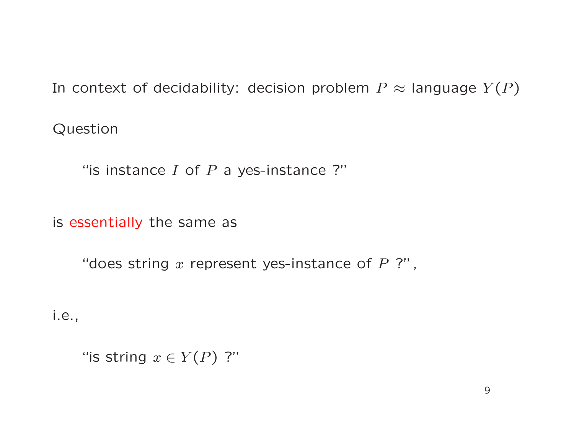In context of decidability: decision problem  $P \approx$  language  $Y(P)$ 

Question

"is instance  $I$  of  $P$  a yes-instance ?"

is essentially the same as

"does string  $x$  represent yes-instance of  $P$  ?",

i.e.,

"is string  $x\in Y(P)$  ?"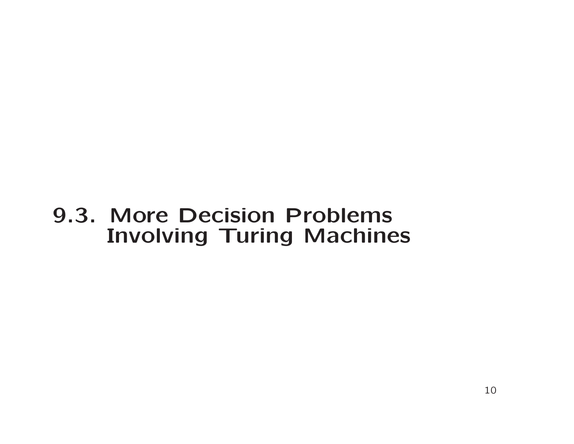# 9.3. More Decision Problems Involving Turing Machines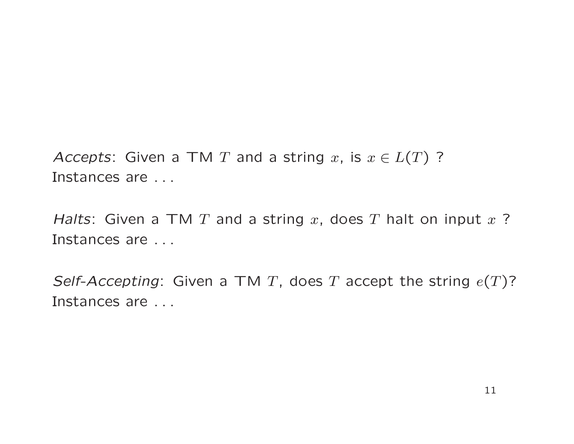Accepts: Given a TM T and a string x, is  $x \in L(T)$  ? Instances are . . .

Halts: Given a TM T and a string x, does T halt on input  $x$  ? Instances are . . .

Self-Accepting: Given a TM T, does T accept the string  $e(T)$ ? Instances are . . .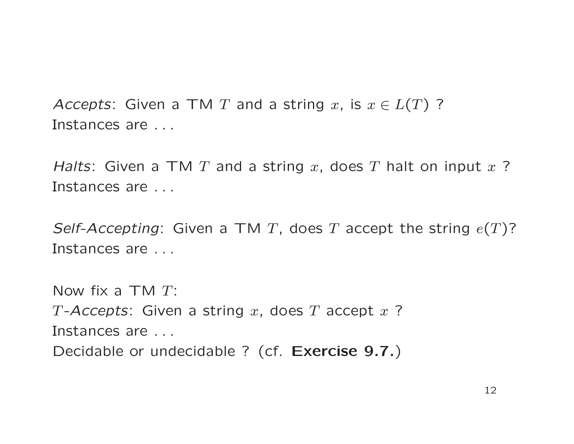Accepts: Given a TM T and a string x, is  $x \in L(T)$  ? Instances are . . .

Halts: Given a TM T and a string x, does T halt on input  $x$  ? Instances are . . .

Self-Accepting: Given a TM T, does T accept the string  $e(T)$ ? Instances are . . .

Now fix a  $TMT$ : T-Accepts: Given a string x, does T accept  $x$  ? Instances are . . . Decidable or undecidable ? (cf. Exercise 9.7.)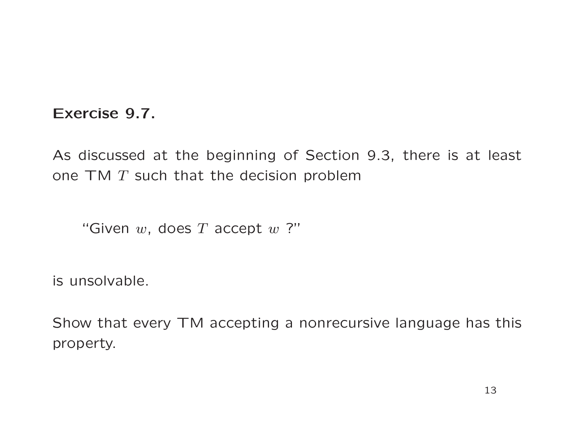#### Exercise 9.7.

As discussed at the beginning of Section 9.3, there is at least one  $TM$   $T$  such that the decision problem

"Given  $w$ , does  $T$  accept  $w$  ?"

is unsolvable.

Show that every TM accepting <sup>a</sup> nonrecursive language has this property.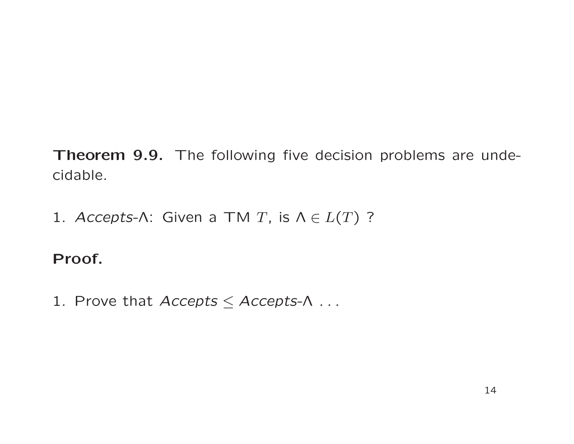Theorem 9.9. The following five decision problems are undecidable.

1. Accepts-Λ: Given a TM T, is  $\Lambda \in L(T)$  ?

# Proof.

1. Prove that  $Access \leq Access-\Lambda$ ...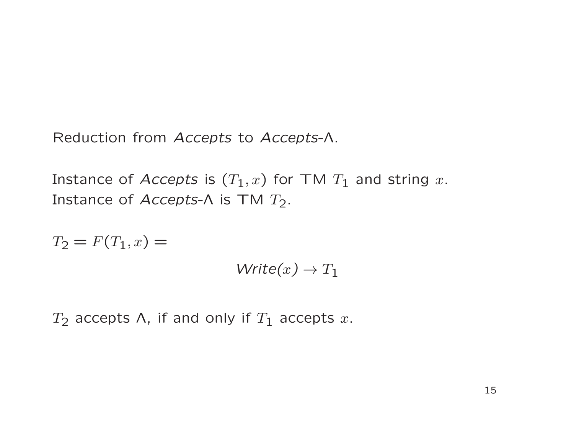Reduction from Accepts to Accepts-Λ.

Instance of Accepts is  $(T_1, x)$  for TM  $T_1$  and string x. Instance of Accepts- $\Lambda$  is TM  $T_2$ .

 $T_2 = F(T_1, x) =$  $Write(x) \rightarrow T_1$ 

 $T_2$  accepts  $\Lambda$ , if and only if  $T_1$  accepts  $x$ .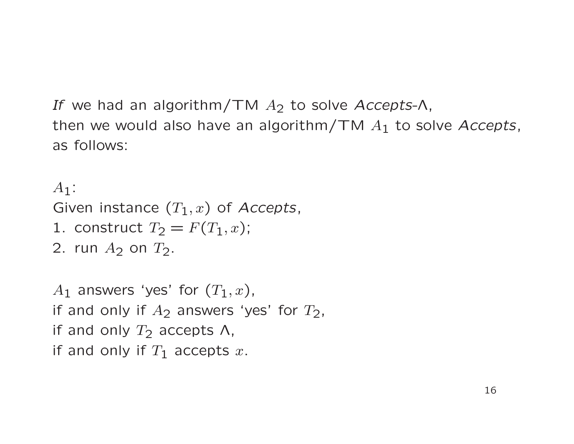If we had an algorithm/TM  $A_2$  to solve Accepts- $\Lambda$ , then we would also have an algorithm/TM  $A_1$  to solve Accepts, as follows:

```
A_1:
Given instance (T_1, x) of Accepts,
1. construct T_2 = F(T_1, x);
2. run A_2 on T_2.
```

```
A_1 answers 'yes' for (T_1, x),
if and only if A_2 answers 'yes' for T_2,
if and only T_2 accepts \Lambda,
if and only if T_1 accepts x.
```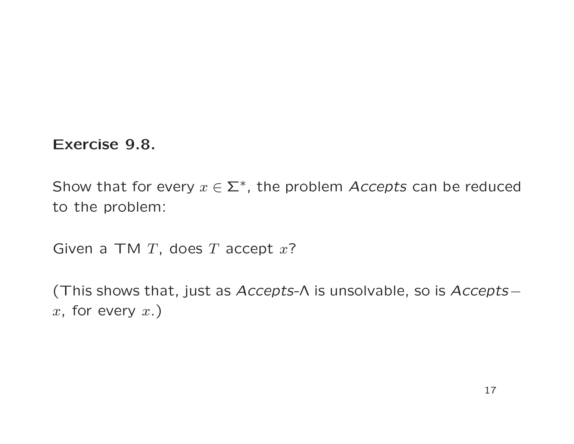Exercise 9.8.

Show that for every  $x \in \Sigma^*$ , the problem Accepts can be reduced to the problem:

Given a TM  $T$ , does  $T$  accept  $x$ ?

(This shows that, just as  $Accepts-\Lambda$  is unsolvable, so is  $Accepts-\Lambda$  $x,$  for every  $x.$ )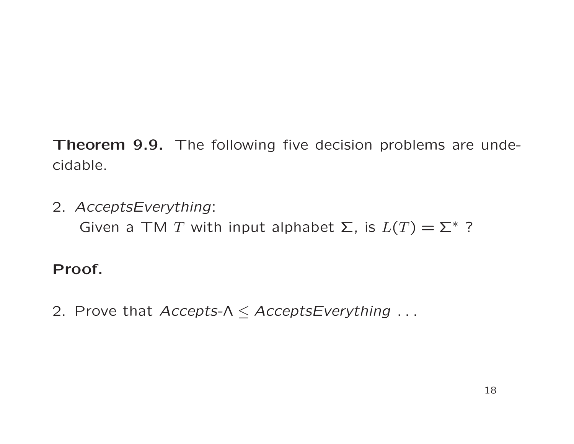Theorem 9.9. The following five decision problems are undecidable.

2. AcceptsEverything: Given a TM T with input alphabet  $\Sigma$ , is  $L(T) = \Sigma^*$  ?

#### Proof.

2. Prove that  $Accepts-\Lambda \leq AcceptsEverything...$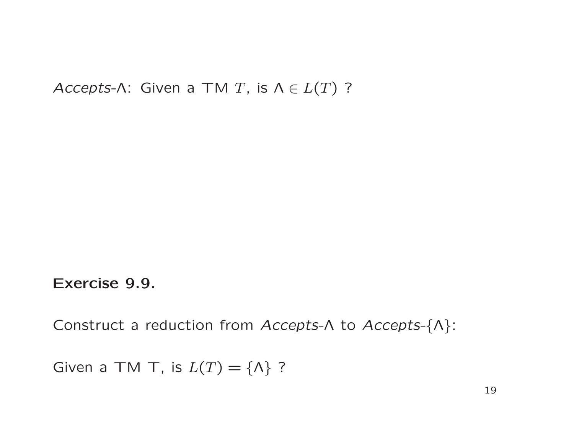Accepts-Λ: Given a TM T, is  $\Lambda \in L(T)$  ?

Exercise 9.9.

Construct <sup>a</sup> reduction from Accepts-<sup>Λ</sup> to Accepts-{Λ}:

Given a TM T, is  $L(T) = \{\Lambda\}$ ?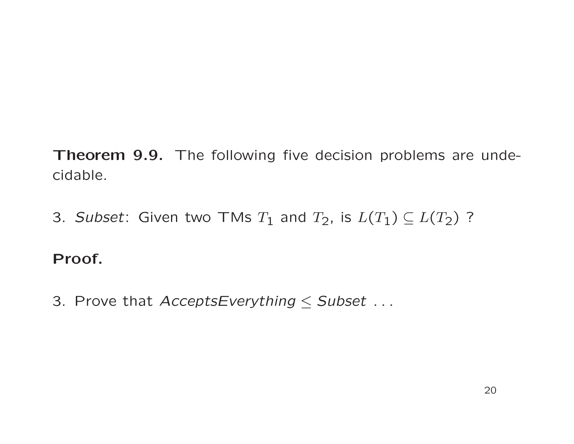Theorem 9.9. The following five decision problems are undecidable.

3. Subset: Given two TMs  $T_1$  and  $T_2$ , is  $L(T_1) \subseteq L(T_2)$  ?

## Proof.

3. Prove that  $AcceptsEverything \le Subset$ ...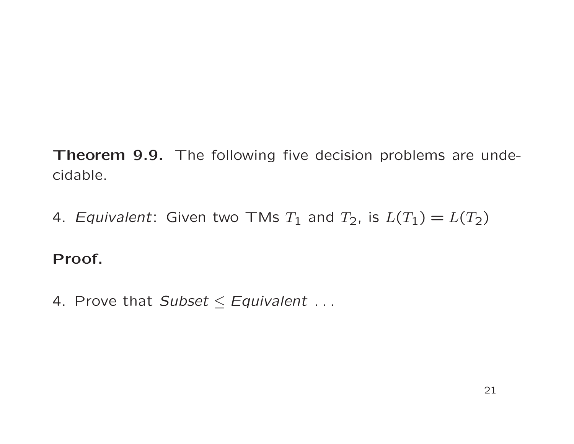Theorem 9.9. The following five decision problems are undecidable.

4. Equivalent: Given two TMs  $T_1$  and  $T_2$ , is  $L(T_1) = L(T_2)$ 

## Proof.

4. Prove that Subset  $\le$  Equivalent ...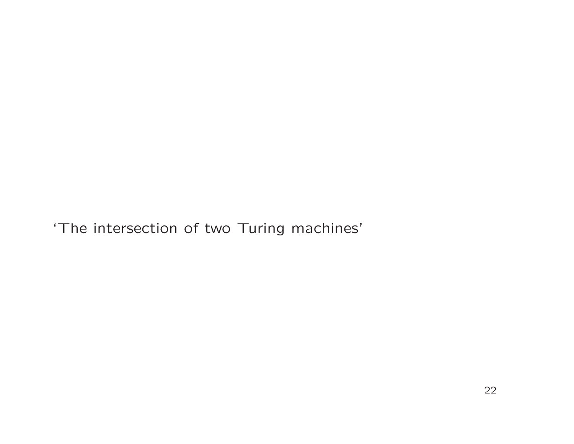'The intersection of two Turing machines'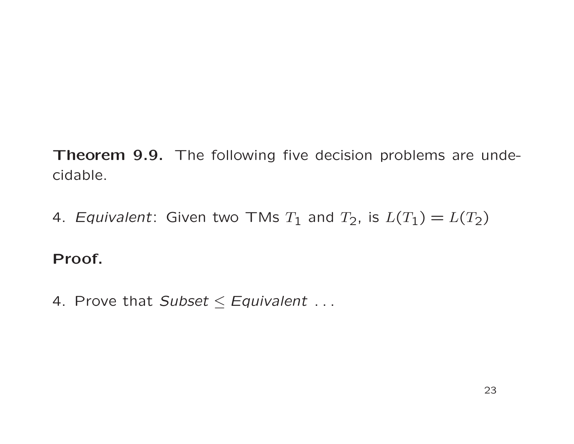Theorem 9.9. The following five decision problems are undecidable.

4. Equivalent: Given two TMs  $T_1$  and  $T_2$ , is  $L(T_1) = L(T_2)$ 

## Proof.

4. Prove that Subset  $\le$  Equivalent ...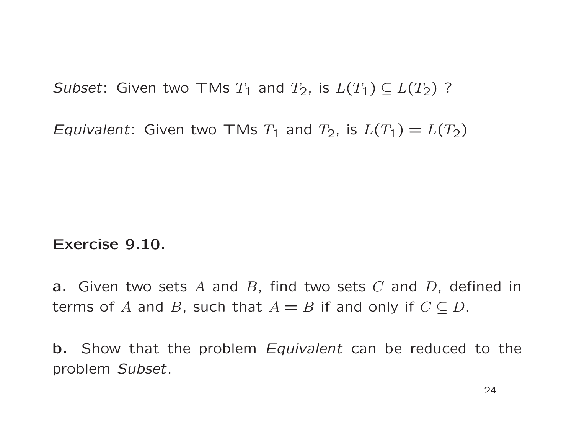Subset: Given two TMs  $T_1$  and  $T_2$ , is  $L(T_1) \subseteq L(T_2)$ ?

Equivalent: Given two TMs  $T_1$  and  $T_2$ , is  $L(T_1) = L(T_2)$ 

#### Exercise 9.10.

**a.** Given two sets A and B, find two sets C and D, defined in terms of A and B, such that  $A = B$  if and only if  $C \subseteq D$ .

b. Show that the problem Equivalent can be reduced to the problem Subset.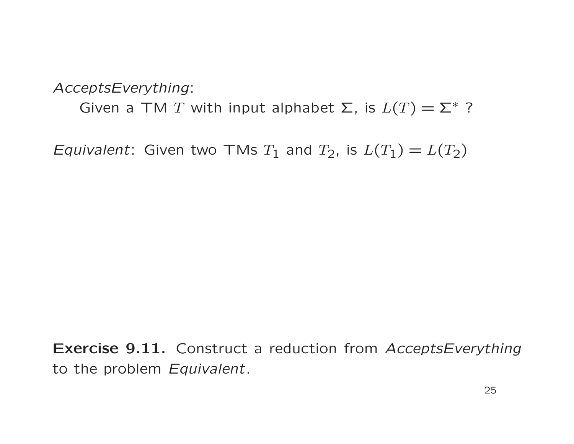AcceptsEverything:

Given a TM T with input alphabet  $\Sigma$ , is  $L(T) = \Sigma^*$  ?

Equivalent: Given two TMs  $T_1$  and  $T_2$ , is  $L(T_1) = L(T_2)$ 

Exercise 9.11. Construct a reduction from AcceptsEverything to the problem Equivalent.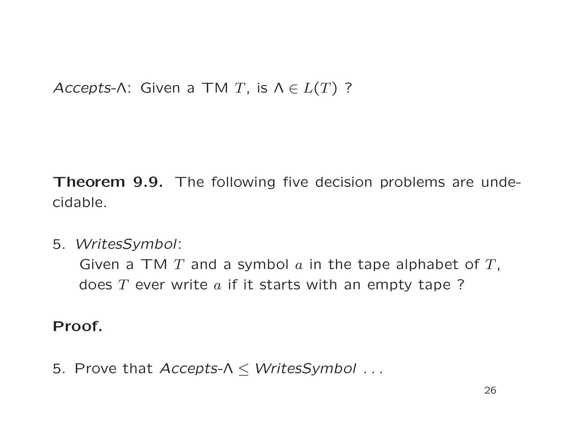Accepts-Λ: Given a TM T, is  $\Lambda \in L(T)$  ?

Theorem 9.9. The following five decision problems are undecidable.

5. WritesSymbol:

Given a TM  $T$  and a symbol  $a$  in the tape alphabet of  $T$ , does  $T$  ever write  $a$  if it starts with an empty tape?

Proof.

5. Prove that  $Accepts-\Lambda \leq WritessSymbol...$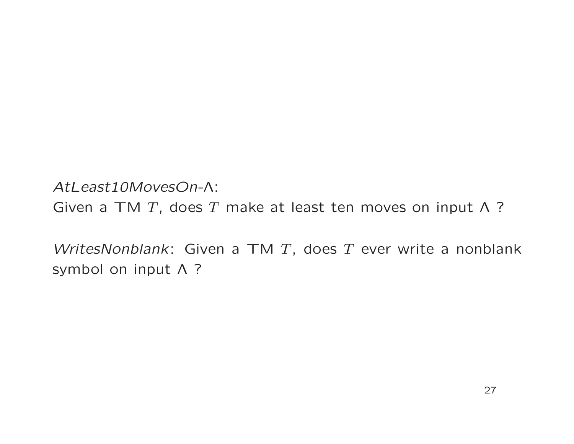AtLeast10MovesOn-Λ: Given a TM T, does T make at least ten moves on input  $\Lambda$  ?

WritesNonblank: Given a TM  $T$ , does  $T$  ever write a nonblank symbol on input Λ ?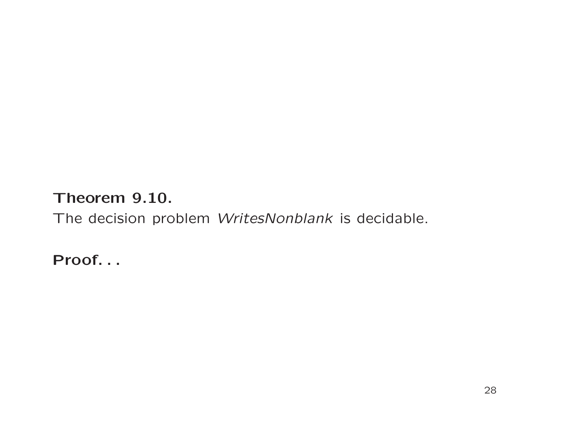### Theorem 9.10.

The decision problem WritesNonblank is decidable.

Proof. . .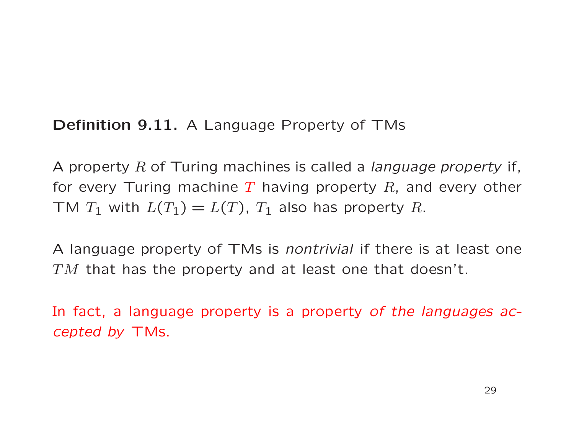### Definition 9.11. A Language Property of TMs

A property  $R$  of Turing machines is called a *language property* if, for every Turing machine T having property R, and every other TM  $T_1$  with  $L(T_1) = L(T)$ ,  $T_1$  also has property R.

A language property of TMs is nontrivial if there is at least one  $TM$  that has the property and at least one that doesn't.

In fact, a language property is a property of the languages accepted by TMs.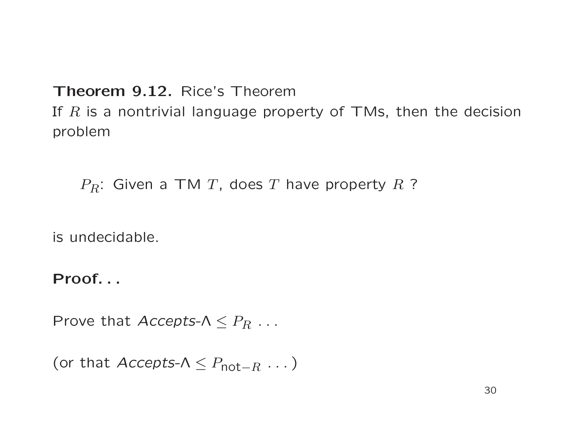#### Theorem 9.12. Rice's Theorem

If  $R$  is a nontrivial language property of TMs, then the decision problem

 $P_R$ : Given a TM T, does T have property R ?

is undecidable.

Proof. . .

Prove that  $Accepts-\Lambda \leq P_R \ldots$ 

```
(or that Accepts-\Lambda \leq P_{\text{not}-R} \dots)
```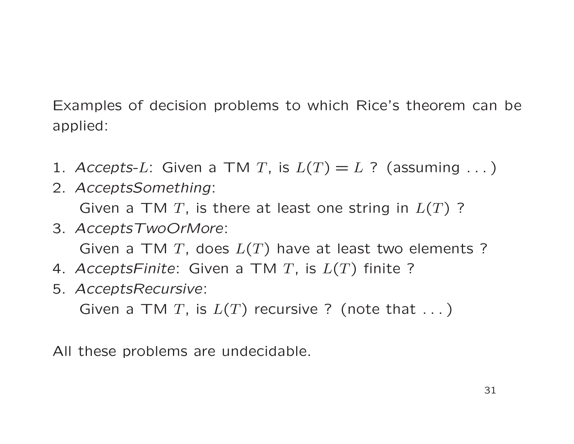Examples of decision problems to which Rice's theorem can be applied:

- 1. Accepts-L: Given a TM T, is  $L(T) = L$  ? (assuming ...)
- 2. AcceptsSomething: Given a TM T, is there at least one string in  $L(T)$  ?
- 3. AcceptsTwoOrMore: Given a TM T, does  $L(T)$  have at least two elements ?
- 4. AcceptsFinite: Given a TM T, is  $L(T)$  finite ?
- 5. AcceptsRecursive:

Given a TM T, is  $L(T)$  recursive ? (note that ...)

All these problems are undecidable.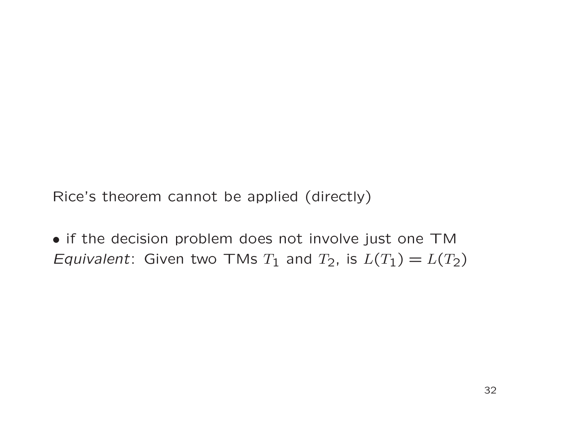Rice's theorem cannot be applied (directly)

• if the decision problem does not involve just one TM Equivalent: Given two TMs  $T_1$  and  $T_2$ , is  $L(T_1) = L(T_2)$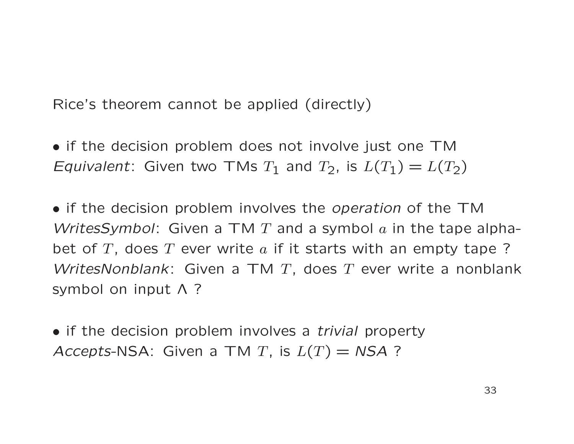Rice's theorem cannot be applied (directly)

• if the decision problem does not involve just one TM Equivalent: Given two TMs  $T_1$  and  $T_2$ , is  $L(T_1) = L(T_2)$ 

• if the decision problem involves the *operation* of the TM WritesSymbol: Given a TM T and a symbol  $a$  in the tape alphabet of  $T$ , does  $T$  ever write  $a$  if it starts with an empty tape ? WritesNonblank: Given a TM T, does T ever write a nonblank symbol on input Λ ?

• if the decision problem involves a *trivial* property Accepts-NSA: Given a TM T, is  $L(T) = NSA$ ?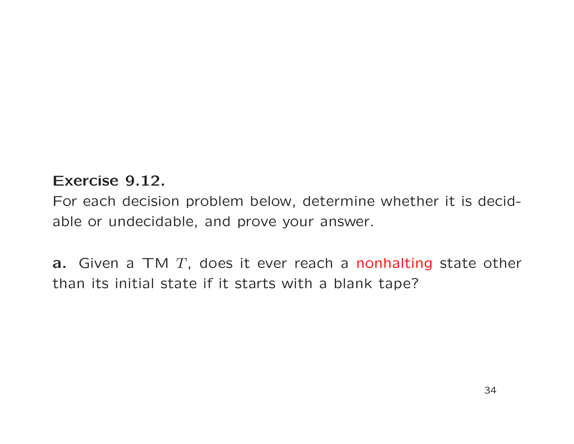#### Exercise 9.12.

For each decision problem below, determine whether it is decidable or undecidable, and prove your answer.

**a.** Given a TM  $T$ , does it ever reach a nonhalting state other than its initial state if it starts with a blank tape?